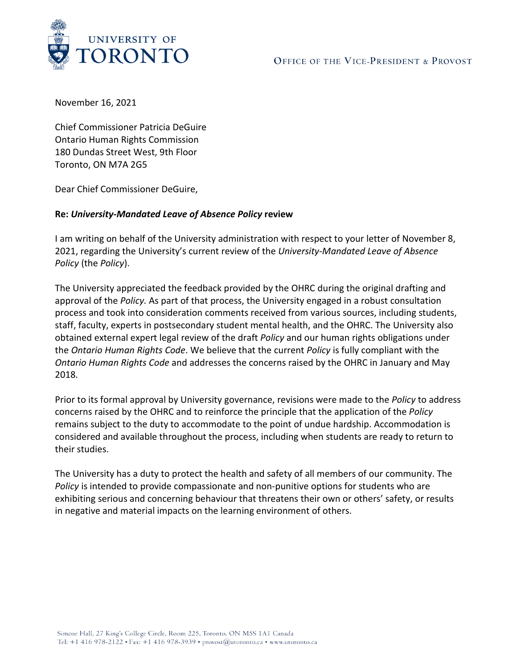

November 16, 2021

Chief Commissioner Patricia DeGuire Ontario Human Rights Commission 180 Dundas Street West, 9th Floor Toronto, ON M7A 2G5

Dear Chief Commissioner DeGuire,

## **Re:** *University-Mandated Leave of Absence Policy* **review**

I am writing on behalf of the University administration with respect to your letter of November 8, 2021, regarding the University's current review of the *University-Mandated Leave of Absence Policy* (the *Policy*).

The University appreciated the feedback provided by the OHRC during the original drafting and approval of the *Policy.* As part of that process, the University engaged in a robust consultation process and took into consideration comments received from various sources, including students, staff, faculty, experts in postsecondary student mental health, and the OHRC. The University also obtained external expert legal review of the draft *Policy* and our human rights obligations under the *Ontario Human Rights Code*. We believe that the current *Policy* is fully compliant with the *Ontario Human Rights Code* and addresses the concerns raised by the OHRC in January and May 2018*.*

Prior to its formal approval by University governance, revisions were made to the *Policy* to address concerns raised by the OHRC and to reinforce the principle that the application of the *Policy* remains subject to the duty to accommodate to the point of undue hardship. Accommodation is considered and available throughout the process, including when students are ready to return to their studies.

The University has a duty to protect the health and safety of all members of our community. The *Policy* is intended to provide compassionate and non-punitive options for students who are exhibiting serious and concerning behaviour that threatens their own or others' safety, or results in negative and material impacts on the learning environment of others.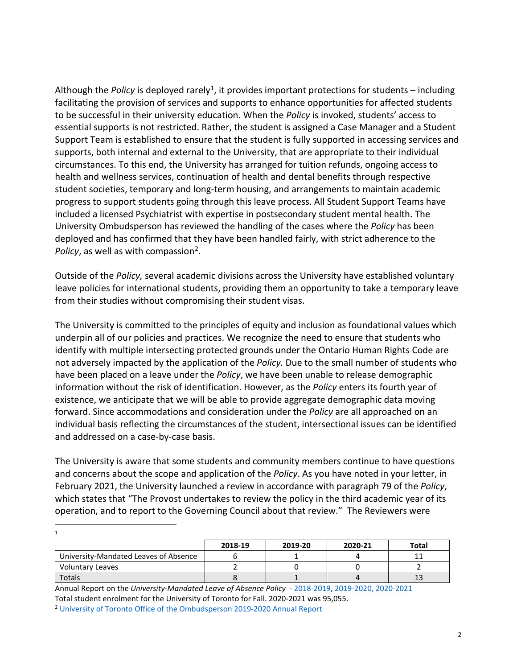Although the *Policy* is deployed rarely<sup>1</sup>, it provides important protections for students – including facilitating the provision of services and supports to enhance opportunities for affected students to be successful in their university education. When the *Policy* is invoked, students' access to essential supports is not restricted. Rather, the student is assigned a Case Manager and a Student Support Team is established to ensure that the student is fully supported in accessing services and supports, both internal and external to the University, that are appropriate to their individual circumstances. To this end, the University has arranged for tuition refunds, ongoing access to health and wellness services, continuation of health and dental benefits through respective student societies, temporary and long-term housing, and arrangements to maintain academic progress to support students going through this leave process. All Student Support Teams have included a licensed Psychiatrist with expertise in postsecondary student mental health. The University Ombudsperson has reviewed the handling of the cases where the *Policy* has been deployed and has confirmed that they have been handled fairly, with strict adherence to the *Policy*, as well as with compassion<sup>2</sup>.

Outside of the *Policy,* several academic divisions across the University have established voluntary leave policies for international students, providing them an opportunity to take a temporary leave from their studies without compromising their student visas.

The University is committed to the principles of equity and inclusion as foundational values which underpin all of our policies and practices. We recognize the need to ensure that students who identify with multiple intersecting protected grounds under the Ontario Human Rights Code are not adversely impacted by the application of the *Policy.* Due to the small number of students who have been placed on a leave under the *Policy*, we have been unable to release demographic information without the risk of identification. However, as the *Policy* enters its fourth year of existence, we anticipate that we will be able to provide aggregate demographic data moving forward. Since accommodations and consideration under the *Policy* are all approached on an individual basis reflecting the circumstances of the student, intersectional issues can be identified and addressed on a case-by-case basis.

The University is aware that some students and community members continue to have questions and concerns about the scope and application of the *Policy*. As you have noted in your letter, in February 2021, the University launched a review in accordance with paragraph 79 of the *Policy*, which states that "The Provost undertakes to review the policy in the third academic year of its operation, and to report to the Governing Council about that review." The Reviewers were

<span id="page-1-0"></span>

|                                       | 2018-19 | 2019-20 | 2020-21 | <b>Total</b> |
|---------------------------------------|---------|---------|---------|--------------|
| University-Mandated Leaves of Absence |         |         |         |              |
| <b>Voluntary Leaves</b>               |         |         |         |              |
| <b>Totals</b>                         |         |         |         | 13           |

<span id="page-1-1"></span>Annual Report on the *University-Mandated Leave of Absence Policy* - [2018-2019,](https://governingcouncil.utoronto.ca/sites/default/files/agenda-items/20191113_UAB_04_0.pdf) [2019-2020,](https://governingcouncil.utoronto.ca/system/files/agenda-items/20201124_UAB_4i_1.pdf) [2020-2021](https://governingcouncil.utoronto.ca/system/files/agenda-items/20211123_UAB_06i.pdf) Total student enrolment for the University of Toronto for Fall. 2020-2021 was 95,055. <sup>2</sup> [University of Toronto Office of the Ombudsperson 2019-2020 Annual Report](https://governingcouncil.utoronto.ca/system/files/2020-12/2019-20%20U%20of%20T%20Ombudsperson%20Annual%20Report.pdf)

1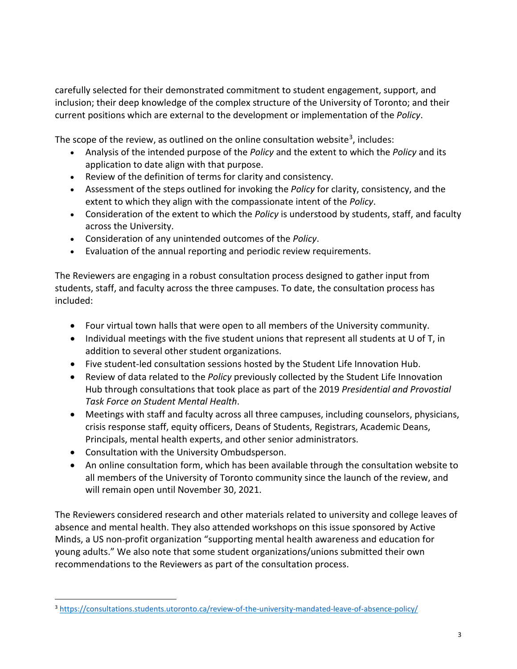carefully selected for their demonstrated commitment to student engagement, support, and inclusion; their deep knowledge of the complex structure of the University of Toronto; and their current positions which are external to the development or implementation of the *Policy*.

The scope of the review, as outlined on the online consultation website<sup>3</sup>, includes:

- Analysis of the intended purpose of the *Policy* and the extent to which the *Policy* and its application to date align with that purpose.
- Review of the definition of terms for clarity and consistency.
- Assessment of the steps outlined for invoking the *Policy* for clarity, consistency, and the extent to which they align with the compassionate intent of the *Policy*.
- Consideration of the extent to which the *Policy* is understood by students, staff, and faculty across the University.
- Consideration of any unintended outcomes of the *Policy*.
- Evaluation of the annual reporting and periodic review requirements.

The Reviewers are engaging in a robust consultation process designed to gather input from students, staff, and faculty across the three campuses. To date, the consultation process has included:

- Four virtual town halls that were open to all members of the University community.
- Individual meetings with the five student unions that represent all students at U of T, in addition to several other student organizations.
- Five student-led consultation sessions hosted by the Student Life Innovation Hub.
- Review of data related to the *Policy* previously collected by the Student Life Innovation Hub through consultations that took place as part of the 2019 *Presidential and Provostial Task Force on Student Mental Health*.
- Meetings with staff and faculty across all three campuses, including counselors, physicians, crisis response staff, equity officers, Deans of Students, Registrars, Academic Deans, Principals, mental health experts, and other senior administrators.
- Consultation with the University Ombudsperson.
- An online consultation form, which has been available through the consultation website to all members of the University of Toronto community since the launch of the review, and will remain open until November 30, 2021.

The Reviewers considered research and other materials related to university and college leaves of absence and mental health. They also attended workshops on this issue sponsored by Active Minds, a US non-profit organization "supporting mental health awareness and education for young adults." We also note that some student organizations/unions submitted their own recommendations to the Reviewers as part of the consultation process.

<span id="page-2-0"></span><sup>3</sup> <https://consultations.students.utoronto.ca/review-of-the-university-mandated-leave-of-absence-policy/>